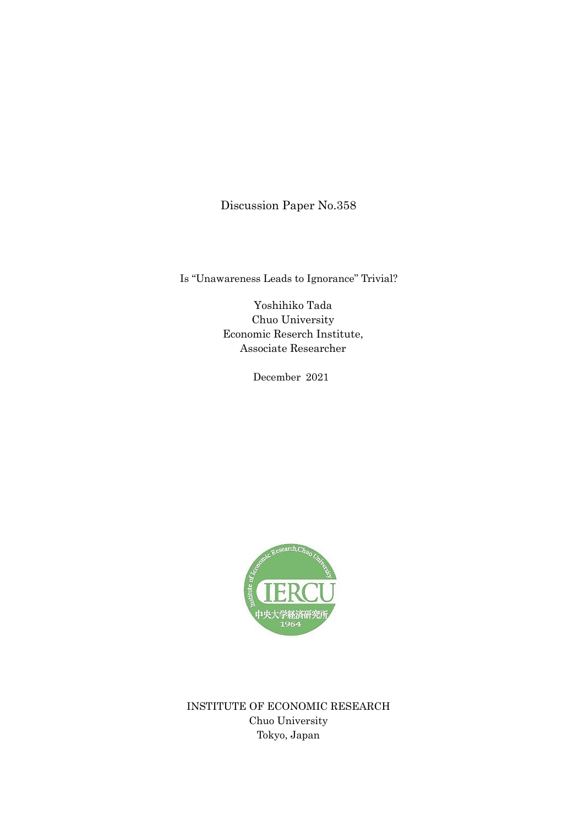Discussion Paper No.358

Is "Unawareness Leads to Ignorance" Trivial?

Yoshihiko Tada Chuo University Economic Reserch Institute, Associate Researcher

December 2021



INSTITUTE OF ECONOMIC RESEARCH Chuo University Tokyo, Japan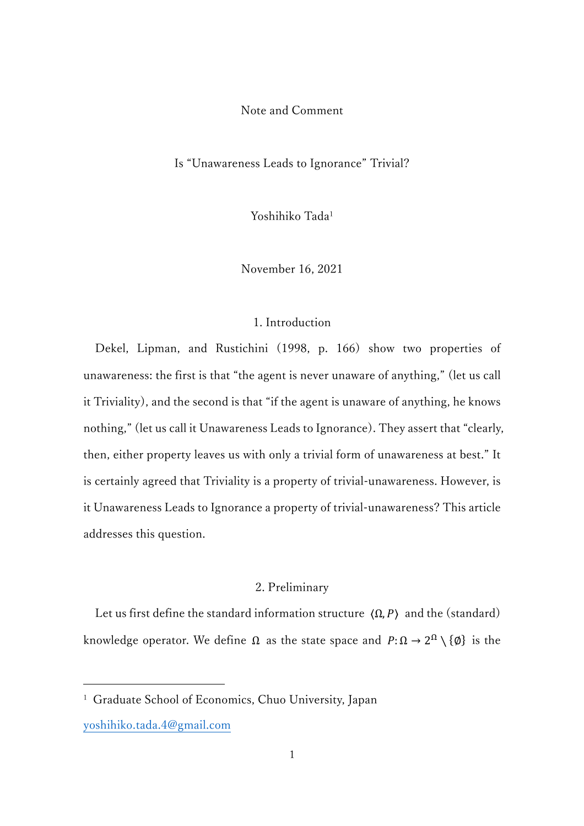Note and Comment

Is "Unawareness Leads to Ignorance" Trivial?

Yoshihiko Tada1

November 16, 2021

### 1. Introduction

 Dekel, Lipman, and Rustichini (1998, p. 166) show two properties of unawareness: the first is that "the agent is never unaware of anything," (let us call it Triviality), and the second is that "if the agent is unaware of anything, he knows nothing," (let us call it Unawareness Leads to Ignorance). They assert that "clearly, then, either property leaves us with only a trivial form of unawareness at best." It is certainly agreed that Triviality is a property of trivial-unawareness. However, is it Unawareness Leads to Ignorance a property of trivial-unawareness? This article addresses this question.

# 2. Preliminary

Let us first define the standard information structure  $(\Omega, P)$  and the (standard) knowledge operator. We define  $\Omega$  as the state space and  $P: \Omega \to 2^{\Omega} \setminus \{\emptyset\}$  is the

<sup>&</sup>lt;sup>1</sup> Graduate School of Economics, Chuo University, Japan

yoshihiko.tada.4@gmail.com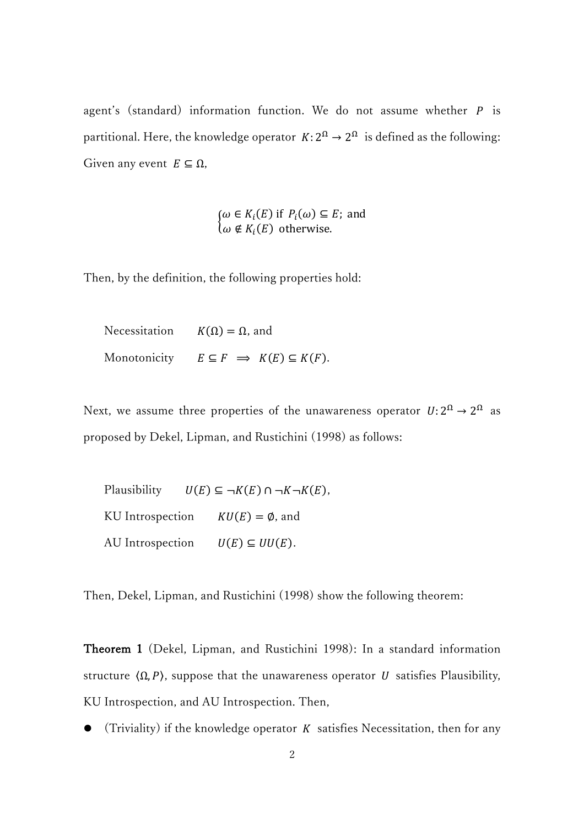agent's (standard) information function. We do not assume whether  $P$  is partitional. Here, the knowledge operator  $K: 2^{\Omega} \rightarrow 2^{\Omega}$  is defined as the following: Given any event  $E \subseteq \Omega$ ,

$$
\begin{cases} \omega \in K_i(E) \text{ if } P_i(\omega) \subseteq E \text{; and} \\ \omega \notin K_i(E) \text{ otherwise.} \end{cases}
$$

Then, by the definition, the following properties hold:

Necessitation  $K(\Omega) = \Omega$ , and Monotonicity  $E \subseteq F \implies K(E) \subseteq K(F)$ .

Next, we assume three properties of the unawareness operator  $U: 2^{\Omega} \to 2^{\Omega}$  as proposed by Dekel, Lipman, and Rustichini (1998) as follows:

Plausibility  $U(E) \subseteq \neg K(E) \cap \neg K \neg K(E)$ , KU Introspection  $KU(E) = \emptyset$ , and AU Introspection  $U(E) \subseteq UU(E)$ .

Then, Dekel, Lipman, and Rustichini (1998) show the following theorem:

Theorem 1 (Dekel, Lipman, and Rustichini 1998): In a standard information structure  $\langle \Omega, P \rangle$ , suppose that the unawareness operator *U* satisfies Plausibility, KU Introspection, and AU Introspection. Then,

(Triviality) if the knowledge operator  $K$  satisfies Necessitation, then for any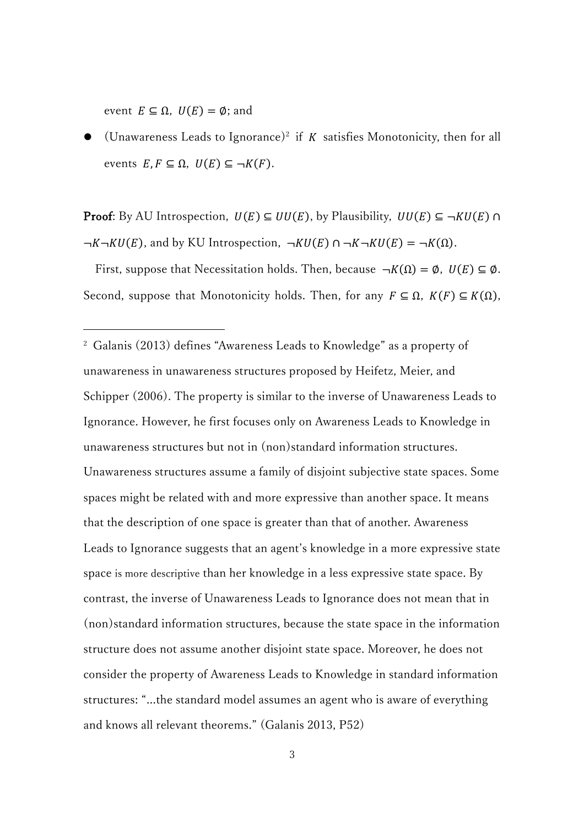event  $E \subseteq \Omega$ ,  $U(E) = \emptyset$ ; and

(Unawareness Leads to Ignorance)<sup>2</sup> if  $K$  satisfies Monotonicity, then for all events  $E, F \subseteq \Omega$ ,  $U(E) \subseteq \neg K(F)$ .

**Proof:** By AU Introspection,  $U(E) \subseteq UU(E)$ , by Plausibility,  $UU(E) \subseteq \neg KU(E) \cap \neg KU(E)$  $\neg K \neg KU(E)$ , and by KU Introspection,  $\neg KU(E) \cap \neg K \neg KU(E) = \neg K(\Omega)$ .

First, suppose that Necessitation holds. Then, because  $\neg K(\Omega) = \emptyset$ ,  $U(E) \subseteq \emptyset$ . Second, suppose that Monotonicity holds. Then, for any  $F \subseteq \Omega$ ,  $K(F) \subseteq K(\Omega)$ ,

<sup>2</sup> Galanis (2013) defines "Awareness Leads to Knowledge" as a property of unawareness in unawareness structures proposed by Heifetz, Meier, and Schipper (2006). The property is similar to the inverse of Unawareness Leads to Ignorance. However, he first focuses only on Awareness Leads to Knowledge in unawareness structures but not in (non)standard information structures. Unawareness structures assume a family of disjoint subjective state spaces. Some spaces might be related with and more expressive than another space. It means that the description of one space is greater than that of another. Awareness Leads to Ignorance suggests that an agent's knowledge in a more expressive state space is more descriptive than her knowledge in a less expressive state space. By contrast, the inverse of Unawareness Leads to Ignorance does not mean that in (non)standard information structures, because the state space in the information structure does not assume another disjoint state space. Moreover, he does not consider the property of Awareness Leads to Knowledge in standard information structures: "...the standard model assumes an agent who is aware of everything and knows all relevant theorems." (Galanis 2013, P52)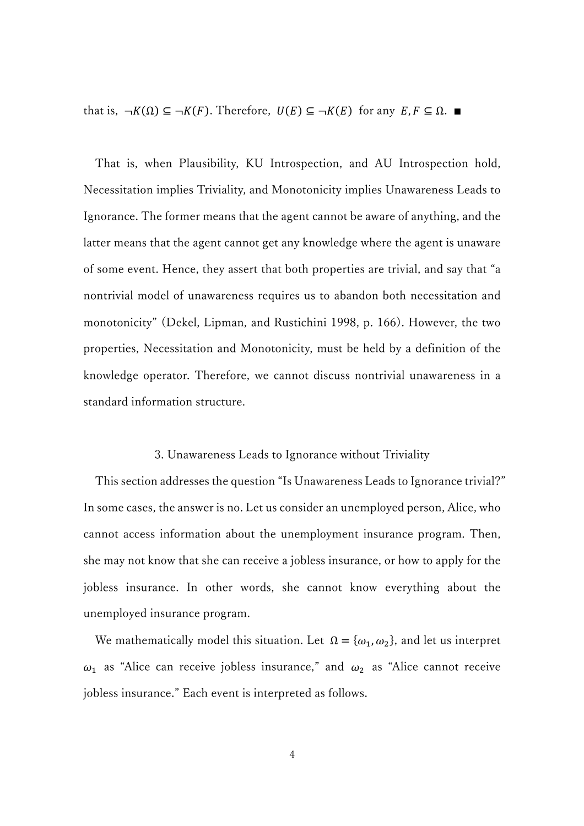that is,  $\neg K(\Omega) \subseteq \neg K(F)$ . Therefore,  $U(E) \subseteq \neg K(E)$  for any  $E, F \subseteq \Omega$ .

 That is, when Plausibility, KU Introspection, and AU Introspection hold, Necessitation implies Triviality, and Monotonicity implies Unawareness Leads to Ignorance. The former means that the agent cannot be aware of anything, and the latter means that the agent cannot get any knowledge where the agent is unaware of some event. Hence, they assert that both properties are trivial, and say that "a nontrivial model of unawareness requires us to abandon both necessitation and monotonicity" (Dekel, Lipman, and Rustichini 1998, p. 166). However, the two properties, Necessitation and Monotonicity, must be held by a definition of the knowledge operator. Therefore, we cannot discuss nontrivial unawareness in a standard information structure.

#### 3. Unawareness Leads to Ignorance without Triviality

 This section addresses the question "Is Unawareness Leads to Ignorance trivial?" In some cases, the answer is no. Let us consider an unemployed person, Alice, who cannot access information about the unemployment insurance program. Then, she may not know that she can receive a jobless insurance, or how to apply for the jobless insurance. In other words, she cannot know everything about the unemployed insurance program.

We mathematically model this situation. Let  $\Omega = {\omega_1, \omega_2}$ , and let us interpret  $\omega_1$  as "Alice can receive jobless insurance," and  $\omega_2$  as "Alice cannot receive jobless insurance." Each event is interpreted as follows.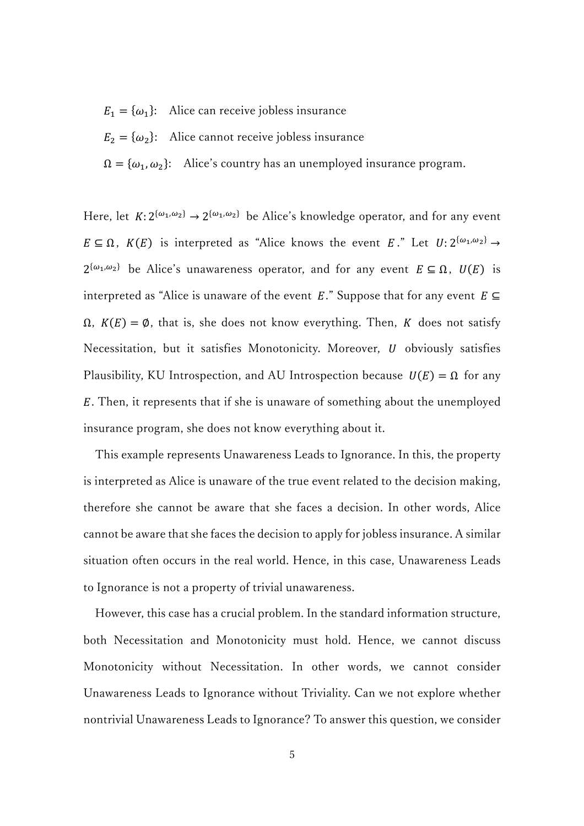- $E_1 = {\omega_1}$ : Alice can receive jobless insurance
- $E_2 = {\omega_2}$ : Alice cannot receive jobless insurance

 $\Omega = {\omega_1, \omega_2}$ : Alice's country has an unemployed insurance program.

Here, let  $K: 2^{\{\omega_1,\omega_2\}} \to 2^{\{\omega_1,\omega_2\}}$  be Alice's knowledge operator, and for any event  $E \subseteq \Omega$ ,  $K(E)$  is interpreted as "Alice knows the event E." Let  $U: 2^{\{\omega_1, \omega_2\}} \rightarrow$  $2^{\{\omega_1,\omega_2\}}$  be Alice's unawareness operator, and for any event  $E \subseteq \Omega$ ,  $U(E)$  is interpreted as "Alice is unaware of the event E." Suppose that for any event  $E \subseteq$  $\Omega$ ,  $K(E) = \emptyset$ , that is, she does not know everything. Then, K does not satisfy Necessitation, but it satisfies Monotonicity. Moreover,  $U$  obviously satisfies Plausibility, KU Introspection, and AU Introspection because  $U(E) = \Omega$  for any . Then, it represents that if she is unaware of something about the unemployed insurance program, she does not know everything about it.

 This example represents Unawareness Leads to Ignorance. In this, the property is interpreted as Alice is unaware of the true event related to the decision making, therefore she cannot be aware that she faces a decision. In other words, Alice cannot be aware that she faces the decision to apply for jobless insurance. A similar situation often occurs in the real world. Hence, in this case, Unawareness Leads to Ignorance is not a property of trivial unawareness.

 However, this case has a crucial problem. In the standard information structure, both Necessitation and Monotonicity must hold. Hence, we cannot discuss Monotonicity without Necessitation. In other words, we cannot consider Unawareness Leads to Ignorance without Triviality. Can we not explore whether nontrivial Unawareness Leads to Ignorance? To answer this question, we consider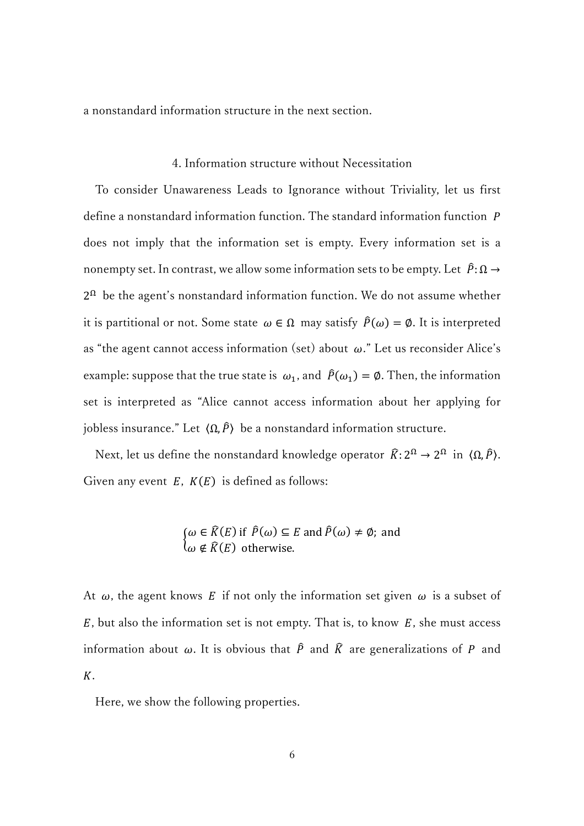a nonstandard information structure in the next section.

#### 4. Information structure without Necessitation

 To consider Unawareness Leads to Ignorance without Triviality, let us first define a nonstandard information function. The standard information function P does not imply that the information set is empty. Every information set is a nonempty set. In contrast, we allow some information sets to be empty. Let  $\hat{P}: \Omega \to$  $2<sup>Ω</sup>$  be the agent's nonstandard information function. We do not assume whether it is partitional or not. Some state  $\omega \in \Omega$  may satisfy  $\hat{P}(\omega) = \emptyset$ . It is interpreted as "the agent cannot access information (set) about  $\omega$ ." Let us reconsider Alice's example: suppose that the true state is  $\omega_1$ , and  $\hat{P}(\omega_1) = \emptyset$ . Then, the information set is interpreted as "Alice cannot access information about her applying for jobless insurance." Let  $(Ω, *P*)$  be a nonstandard information structure.

Next, let us define the nonstandard knowledge operator  $\widehat{K}: 2^{\Omega} \to 2^{\Omega}$  in  $\langle \Omega, \widehat{P} \rangle$ . Given any event  $E$ ,  $K(E)$  is defined as follows:

$$
\begin{cases} \omega \in \widehat{K}(E) \text{ if } \widehat{P}(\omega) \subseteq E \text{ and } \widehat{P}(\omega) \neq \emptyset; \text{ and} \\ \omega \notin \widehat{K}(E) \text{ otherwise.} \end{cases}
$$

At  $\omega$ , the agent knows E if not only the information set given  $\omega$  is a subset of  $E$ , but also the information set is not empty. That is, to know  $E$ , she must access information about  $\omega$ . It is obvious that  $\hat{P}$  and  $\hat{K}$  are generalizations of  $P$  and  $K$ .

Here, we show the following properties.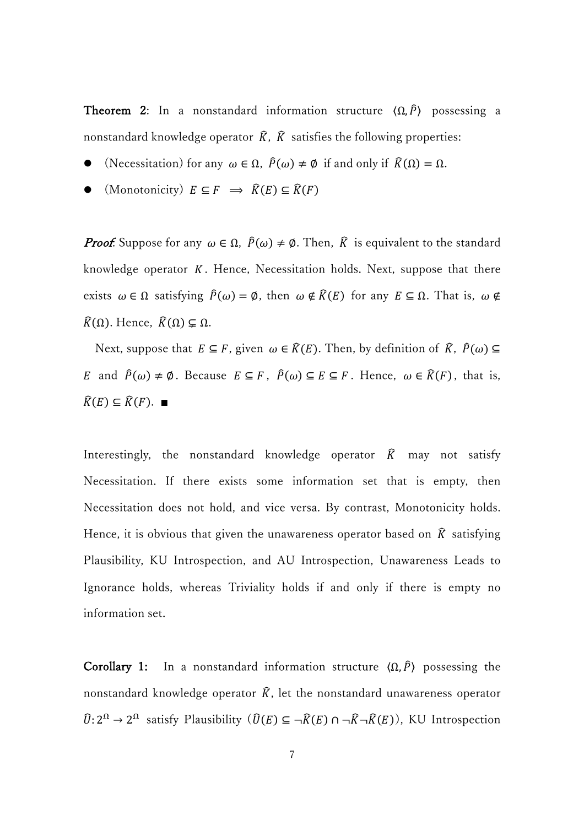**Theorem 2:** In a nonstandard information structure  $\langle \Omega, \hat{P} \rangle$  possessing a nonstandard knowledge operator  $\hat{K}$ ,  $\hat{K}$  satisfies the following properties:

- (Necessitation) for any  $\omega \in \Omega$ ,  $\hat{P}(\omega) \neq \emptyset$  if and only if  $\hat{K}(\Omega) = \Omega$ .
- (Monotonicity)  $E \subseteq F \implies \widehat{K}(E) \subseteq \widehat{K}(F)$

**Proof:** Suppose for any  $\omega \in \Omega$ ,  $\hat{P}(\omega) \neq \emptyset$ . Then,  $\hat{K}$  is equivalent to the standard knowledge operator  $K$ . Hence, Necessitation holds. Next, suppose that there exists  $\omega \in \Omega$  satisfying  $\hat{P}(\omega) = \emptyset$ , then  $\omega \notin \hat{K}(E)$  for any  $E \subseteq \Omega$ . That is,  $\omega \notin$  $\widehat{K}(\Omega)$ . Hence,  $\widehat{K}(\Omega) \subsetneq \Omega$ .

Next, suppose that  $E \subseteq F$ , given  $\omega \in \widehat{R}(E)$ . Then, by definition of  $\widehat{R}$ ,  $\widehat{P}(\omega) \subseteq$ E and  $\hat{P}(\omega) \neq \emptyset$ . Because  $E \subseteq F$ ,  $\hat{P}(\omega) \subseteq E \subseteq F$ . Hence,  $\omega \in \hat{K}(F)$ , that is,  $\widehat{K}(E) \subseteq \widehat{K}(F)$ . ■

Interestingly, the nonstandard knowledge operator  $\hat{K}$  may not satisfy Necessitation. If there exists some information set that is empty, then Necessitation does not hold, and vice versa. By contrast, Monotonicity holds. Hence, it is obvious that given the unawareness operator based on  $\hat{K}$  satisfying Plausibility, KU Introspection, and AU Introspection, Unawareness Leads to Ignorance holds, whereas Triviality holds if and only if there is empty no information set.

Corollary 1: In a nonstandard information structure  $\langle \Omega, \hat{P} \rangle$  possessing the nonstandard knowledge operator  $\hat{K}$ , let the nonstandard unawareness operator  $\widehat{U}: 2^{\Omega} \to 2^{\Omega}$  satisfy Plausibility  $(\widehat{U}(E) \subseteq \neg \widehat{K}(E) \cap \neg \widehat{K} \neg \widehat{K}(E))$ , KU Introspection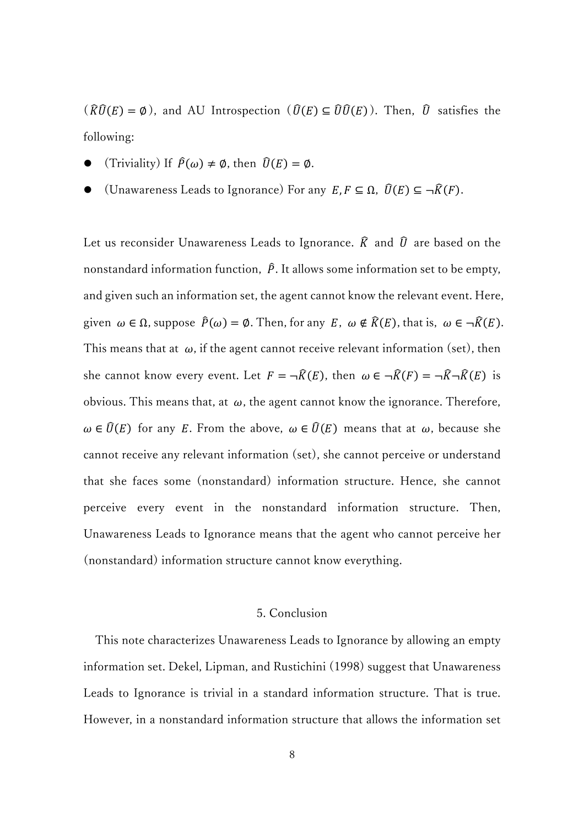$(\widehat{R}\widehat{U}(E) = \emptyset)$ , and AU Introspection  $(\widehat{U}(E) \subseteq \widehat{U}\widehat{U}(E))$ . Then,  $\widehat{U}$  satisfies the following:

- (Triviality) If  $\hat{P}(\omega) \neq \emptyset$ , then  $\hat{U}(E) = \emptyset$ .
- (Unawareness Leads to Ignorance) For any  $E, F \subseteq \Omega$ ,  $\widehat{U}(E) \subseteq \neg \widehat{K}(F)$ .

Let us reconsider Unawareness Leads to Ignorance.  $\hat{K}$  and  $\hat{U}$  are based on the nonstandard information function,  $\hat{P}$ . It allows some information set to be empty, and given such an information set, the agent cannot know the relevant event. Here, given  $\omega \in \Omega$ , suppose  $\hat{P}(\omega) = \emptyset$ . Then, for any E,  $\omega \notin \hat{K}(E)$ , that is,  $\omega \in \neg \hat{K}(E)$ . This means that at  $\omega$ , if the agent cannot receive relevant information (set), then she cannot know every event. Let  $F = \neg \widehat{K}(E)$ , then  $\omega \in \neg \widehat{K}(F) = \neg \widehat{K} \neg \widehat{K}(E)$  is obvious. This means that, at  $\omega$ , the agent cannot know the ignorance. Therefore,  $\omega \in \widehat{U}(E)$  for any E. From the above,  $\omega \in \widehat{U}(E)$  means that at  $\omega$ , because she cannot receive any relevant information (set), she cannot perceive or understand that she faces some (nonstandard) information structure. Hence, she cannot perceive every event in the nonstandard information structure. Then, Unawareness Leads to Ignorance means that the agent who cannot perceive her (nonstandard) information structure cannot know everything.

# 5. Conclusion

 This note characterizes Unawareness Leads to Ignorance by allowing an empty information set. Dekel, Lipman, and Rustichini (1998) suggest that Unawareness Leads to Ignorance is trivial in a standard information structure. That is true. However, in a nonstandard information structure that allows the information set